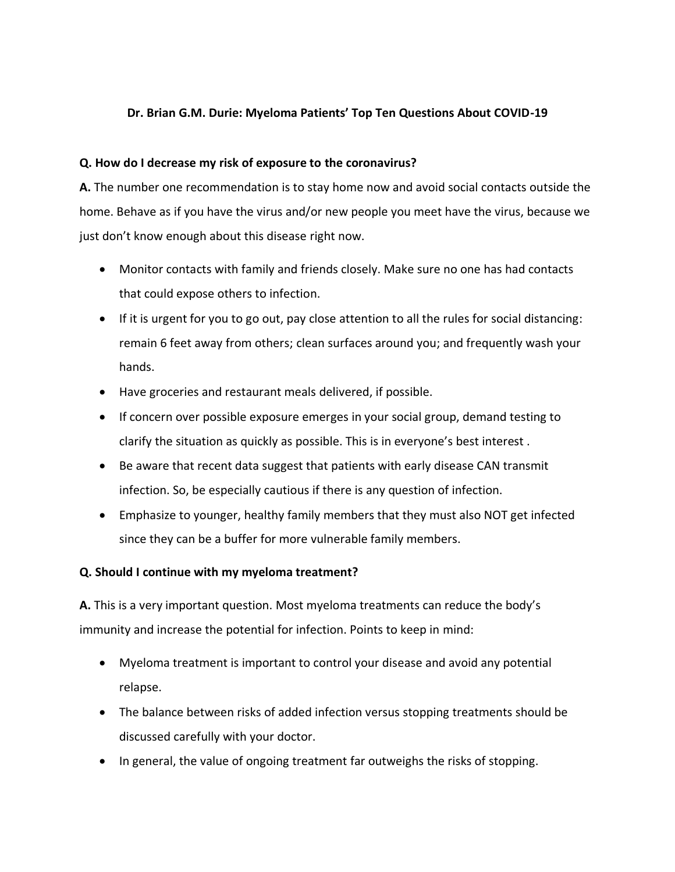## **Dr. Brian G.M. Durie: Myeloma Patients' Top Ten Questions About COVID-19**

## **Q. How do I decrease my risk of exposure to the coronavirus?**

**A.** The number one recommendation is to stay home now and avoid social contacts outside the home. Behave as if you have the virus and/or new people you meet have the virus, because we just don't know enough about this disease right now.

- Monitor contacts with family and friends closely. Make sure no one has had contacts that could expose others to infection.
- If it is urgent for you to go out, pay close attention to all the rules for social distancing: remain 6 feet away from others; clean surfaces around you; and frequently wash your hands.
- Have groceries and restaurant meals delivered, if possible.
- If concern over possible exposure emerges in your social group, demand testing to clarify the situation as quickly as possible. This is in everyone's best interest .
- Be aware that recent data suggest that patients with early disease CAN transmit infection. So, be especially cautious if there is any question of infection.
- Emphasize to younger, healthy family members that they must also NOT get infected since they can be a buffer for more vulnerable family members.

#### **Q. Should I continue with my myeloma treatment?**

**A.** This is a very important question. Most myeloma treatments can reduce the body's immunity and increase the potential for infection. Points to keep in mind:

- Myeloma treatment is important to control your disease and avoid any potential relapse.
- The balance between risks of added infection versus stopping treatments should be discussed carefully with your doctor.
- In general, the value of ongoing treatment far outweighs the risks of stopping.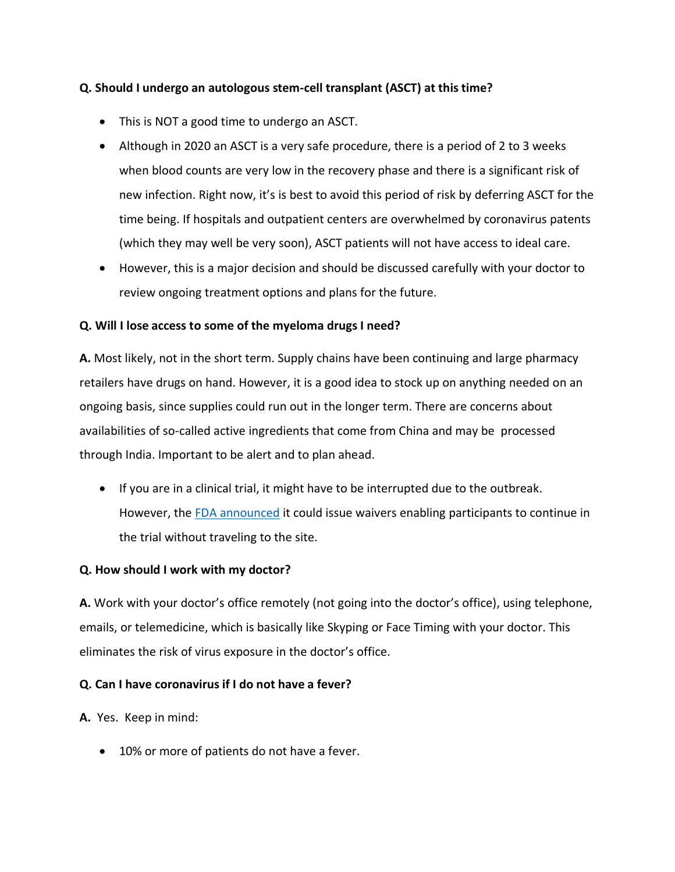# **Q. Should I undergo an autologous stem-cell transplant (ASCT) at this time?**

- This is NOT a good time to undergo an ASCT.
- Although in 2020 an ASCT is a very safe procedure, there is a period of 2 to 3 weeks when blood counts are very low in the recovery phase and there is a significant risk of new infection. Right now, it's is best to avoid this period of risk by deferring ASCT for the time being. If hospitals and outpatient centers are overwhelmed by coronavirus patents (which they may well be very soon), ASCT patients will not have access to ideal care.
- However, this is a major decision and should be discussed carefully with your doctor to review ongoing treatment options and plans for the future.

#### **Q. Will I lose access to some of the myeloma drugs I need?**

**A.** Most likely, not in the short term. Supply chains have been continuing and large pharmacy retailers have drugs on hand. However, it is a good idea to stock up on anything needed on an ongoing basis, since supplies could run out in the longer term. There are concerns about availabilities of so-called active ingredients that come from China and may be processed through India. Important to be alert and to plan ahead.

• If you are in a clinical trial, it might have to be interrupted due to the outbreak. However, th[e FDA announced](https://www.fda.gov/news-events/press-announcements/coronavirus-covid-19-update-fda-issues-guidance-conducting-clinical-trials) it could issue waivers enabling participants to continue in the trial without traveling to the site.

#### **Q. How should I work with my doctor?**

**A.** Work with your doctor's office remotely (not going into the doctor's office), using telephone, emails, or telemedicine, which is basically like Skyping or Face Timing with your doctor. This eliminates the risk of virus exposure in the doctor's office.

#### **Q. Can I have coronavirus if I do not have a fever?**

**A.** Yes. Keep in mind:

• 10% or more of patients do not have a fever.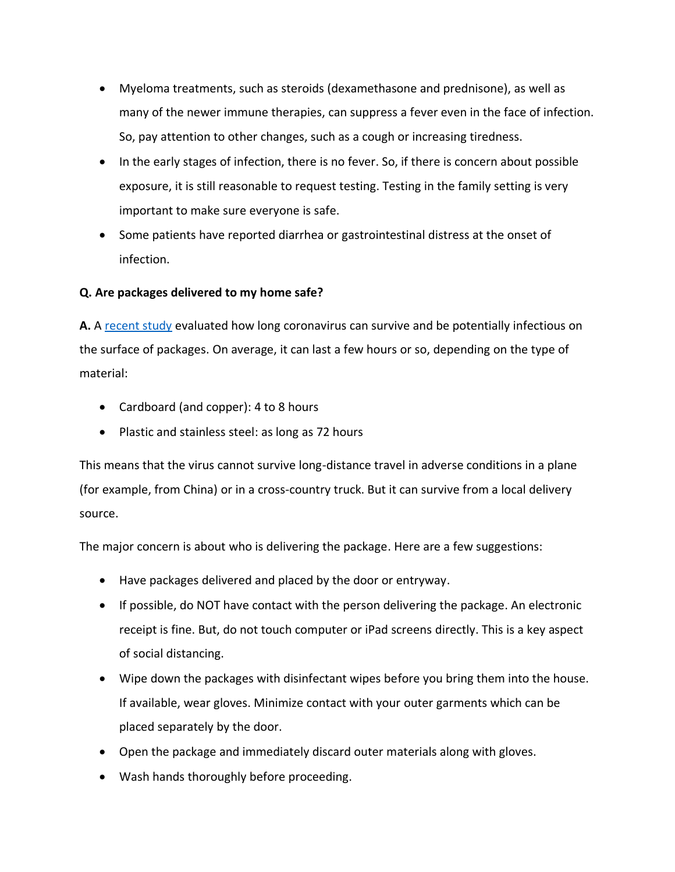- Myeloma treatments, such as steroids (dexamethasone and prednisone), as well as many of the newer immune therapies, can suppress a fever even in the face of infection. So, pay attention to other changes, such as a cough or increasing tiredness.
- In the early stages of infection, there is no fever. So, if there is concern about possible exposure, it is still reasonable to request testing. Testing in the family setting is very important to make sure everyone is safe.
- Some patients have reported diarrhea or gastrointestinal distress at the onset of infection.

# **Q. Are packages delivered to my home safe?**

**A.** A [recent study](https://www.nytimes.com/2020/03/17/health/coronavirus-surfaces-aerosols.html) evaluated how long coronavirus can survive and be potentially infectious on the surface of packages. On average, it can last a few hours or so, depending on the type of material:

- Cardboard (and copper): 4 to 8 hours
- Plastic and stainless steel: as long as 72 hours

This means that the virus cannot survive long-distance travel in adverse conditions in a plane (for example, from China) or in a cross-country truck. But it can survive from a local delivery source.

The major concern is about who is delivering the package. Here are a few suggestions:

- Have packages delivered and placed by the door or entryway.
- If possible, do NOT have contact with the person delivering the package. An electronic receipt is fine. But, do not touch computer or iPad screens directly. This is a key aspect of social distancing.
- Wipe down the packages with disinfectant wipes before you bring them into the house. If available, wear gloves. Minimize contact with your outer garments which can be placed separately by the door.
- Open the package and immediately discard outer materials along with gloves.
- Wash hands thoroughly before proceeding.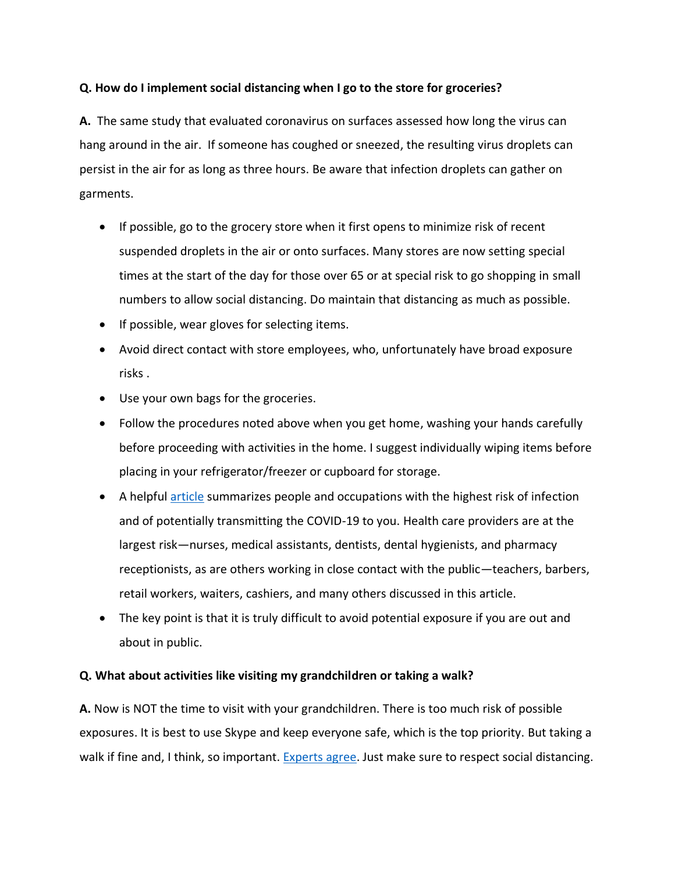## **Q. How do I implement social distancing when I go to the store for groceries?**

**A.** The same study that evaluated coronavirus on surfaces assessed how long the virus can hang around in the air. If someone has coughed or sneezed, the resulting virus droplets can persist in the air for as long as three hours. Be aware that infection droplets can gather on garments.

- If possible, go to the grocery store when it first opens to minimize risk of recent suspended droplets in the air or onto surfaces. Many stores are now setting special times at the start of the day for those over 65 or at special risk to go shopping in small numbers to allow social distancing. Do maintain that distancing as much as possible.
- If possible, wear gloves for selecting items.
- Avoid direct contact with store employees, who, unfortunately have broad exposure risks .
- Use your own bags for the groceries.
- Follow the procedures noted above when you get home, washing your hands carefully before proceeding with activities in the home. I suggest individually wiping items before placing in your refrigerator/freezer or cupboard for storage.
- A helpful [article](https://www.nytimes.com/interactive/2020/03/15/business/economy/coronavirus-worker-risk.html) summarizes people and occupations with the highest risk of infection and of potentially transmitting the COVID-19 to you. Health care providers are at the largest risk—nurses, medical assistants, dentists, dental hygienists, and pharmacy receptionists, as are others working in close contact with the public—teachers, barbers, retail workers, waiters, cashiers, and many others discussed in this article.
- The key point is that it is truly difficult to avoid potential exposure if you are out and about in public.

#### **Q. What about activities like visiting my grandchildren or taking a walk?**

**A.** Now is NOT the time to visit with your grandchildren. There is too much risk of possible exposures. It is best to use Skype and keep everyone safe, which is the top priority. But taking a walk if fine and, I think, so important. [Experts agree.](https://www.nytimes.com/2020/03/17/style/self-care/is-it-ok-to-go-for-a-walk-coronavirus.html) Just make sure to respect social distancing.